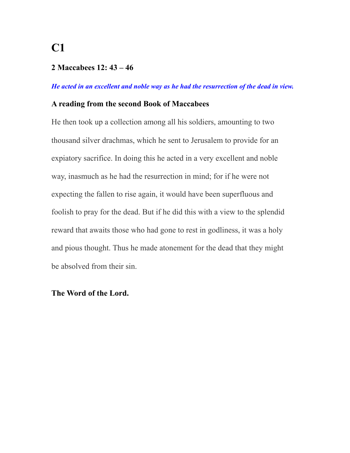#### **2 Maccabees 12: 43 – 46**

#### *He acted in an excellent and noble way as he had the resurrection of the dead in view.*

#### **A reading from the second Book of Maccabees**

He then took up a collection among all his soldiers, amounting to two thousand silver drachmas, which he sent to Jerusalem to provide for an expiatory sacrifice. In doing this he acted in a very excellent and noble way, inasmuch as he had the resurrection in mind; for if he were not expecting the fallen to rise again, it would have been superfluous and foolish to pray for the dead. But if he did this with a view to the splendid reward that awaits those who had gone to rest in godliness, it was a holy and pious thought. Thus he made atonement for the dead that they might be absolved from their sin.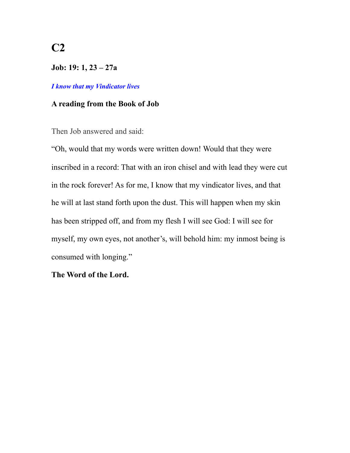**Job: 19: 1, 23 – 27a** 

#### *I know that my Vindicator lives*

#### **A reading from the Book of Job**

Then Job answered and said:

"Oh, would that my words were written down! Would that they were inscribed in a record: That with an iron chisel and with lead they were cut in the rock forever! As for me, I know that my vindicator lives, and that he will at last stand forth upon the dust. This will happen when my skin has been stripped off, and from my flesh I will see God: I will see for myself, my own eyes, not another's, will behold him: my inmost being is consumed with longing."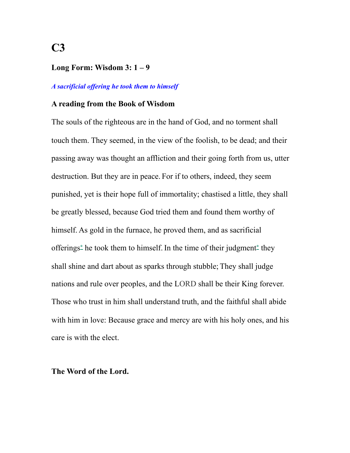#### **Long Form: Wisdom 3: 1 – 9**

#### *A sacrificial offering he took them to himself*

#### **A reading from the Book of Wisdom**

The souls of the righteous are in the hand of God, and no torment shall touch them. They seemed, in the view of the foolish, to be dead; and their passing away was thought an affliction and their going forth from us, utter destruction. But they are in peace. For if to others, indeed, they seem punished, yet is their hope full of immortality; chastised a little, they shall be greatly blessed, because God tried them and found them worthy of himself. As gold in the furnace, he proved them, and as sacrificial offerings**[\\*](http://www.usccb.org/bible/wisdom/3#27003006-1)** he took them to himself. In the time of their judgment**[\\*](http://www.usccb.org/bible/wisdom/3#27003007-1)** they shall shine and dart about as sparks through stubble; They shall judge nations and rule over peoples, and the LORD shall be their King forever. Those who trust in him shall understand truth, and the faithful shall abide with him in love: Because grace and mercy are with his holy ones, and his care is with the elect.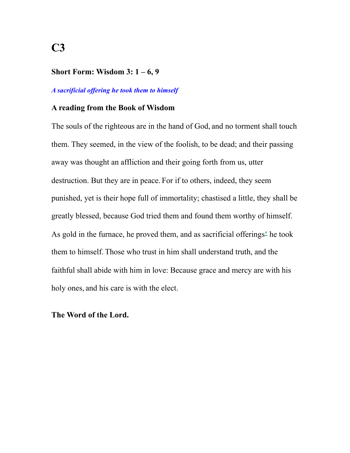### **Short Form: Wisdom 3: 1 – 6, 9**

#### *A sacrificial offering he took them to himself*

#### **A reading from the Book of Wisdom**

The souls of the righteous are in the hand of God, and no torment shall touch them. They seemed, in the view of the foolish, to be dead; and their passing away was thought an affliction and their going forth from us, utter destruction. But they are in peace. For if to others, indeed, they seem punished, yet is their hope full of immortality; chastised a little, they shall be greatly blessed, because God tried them and found them worthy of himself. As gold in the furnace, he proved them, and as sacrificial offerings**[\\*](http://www.usccb.org/bible/wisdom/3#27003006-1)** he took them to himself. Those who trust in him shall understand truth, and the faithful shall abide with him in love: Because grace and mercy are with his holy ones, and his care is with the elect.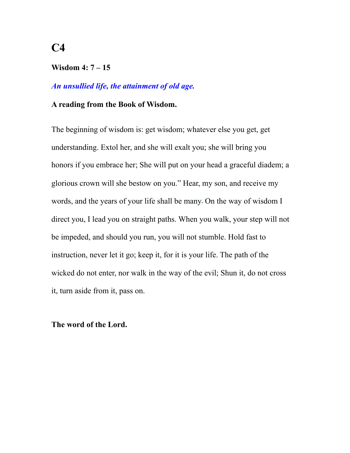### **Wisdom 4: 7 – 15**

## *An unsullied life, the attainment of old age.*

#### **A reading from the Book of Wisdom.**

The beginning of wisdom is: get wisdom; whatever else you get, get understanding. Extol her, and she will exalt you; she will bring you honors if you embrace her; She will put on your head a graceful diadem; a glorious crown will she bestow on you." Hear, my son, and receive my words, and the years of your life shall be many On the way of wisdom I direct you, I lead you on straight paths. When you walk, your step will not be impeded, and should you run, you will not stumble. Hold fast to instruction, never let it go; keep it, for it is your life. The path of the wicked do not enter, nor walk in the way of the evil; Shun it, do not cross it, turn aside from it, pass on.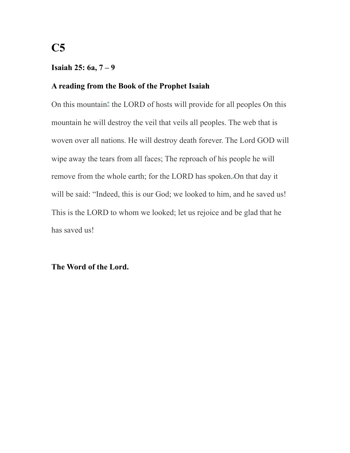### **Isaiah 25: 6a, 7 – 9**

### **A reading from the Book of the Prophet Isaiah**

On this mountain**[\\*](http://www.usccb.org/bible/isaiah/25#29025006-1)** the LORD of hosts will provide for all peoples On this mountain he will destroy the veil that veils all peoples. The web that is woven over all nations. He will destroy death forever. The Lord GOD will wipe away the tears from all faces; The reproach of his people he will remove from the whole earth; for the LORD has spoken. On that day it will be said: "Indeed, this is our God; we looked to him, and he saved us! This is the LORD to whom we looked; let us rejoice and be glad that he has saved us!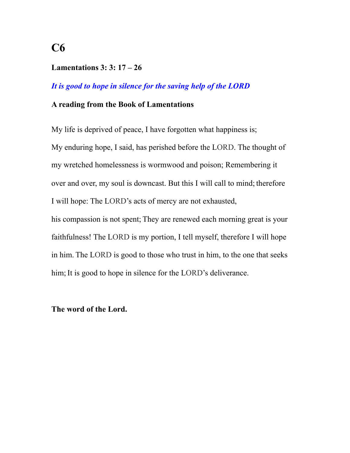### **Lamentations 3: 3: 17 – 26**

### *It is good to hope in silence for the saving help of the LORD*

#### **A reading from the Book of Lamentations**

My life is deprived of peace, I have forgotten what happiness is; My enduring hope, I said, has perished before the LORD. The thought of my wretched homelessness is wormwood and poison; Remembering it over and over, my soul is downcast. But this I will call to mind; therefore I will hope: The LORD's acts of mercy are not exhausted, his compassion is not spent; They are renewed each morning great is your faithfulness! The LORD is my portion, I tell myself, therefore I will hope in him. The LORD is good to those who trust in him, to the one that seeks

him; It is good to hope in silence for the LORD's deliverance.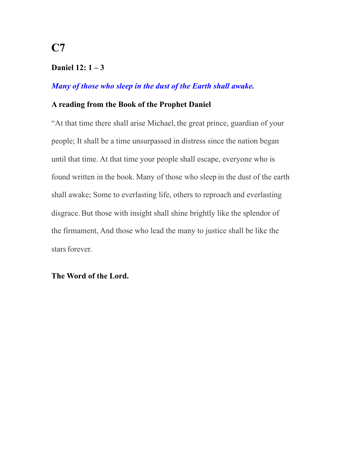### **Daniel 12: 1 – 3**

## *Many of those who sleep in the dust of the Earth shall awake.*

#### **A reading from the Book of the Prophet Daniel**

"At that time there shall arise Michael, the great prince, guardian of your people; It shall be a time unsurpassed in distress since the nation began until that time. At that time your people shall escape, everyone who is found written in the book. Many of those who sleep in the dust of the earth shall awake; Some to everlasting life, others to reproach and everlasting disgrace. But those with insight shall shine brightly like the splendor of the firmament, And those who lead the many to justice shall be like the stars forever.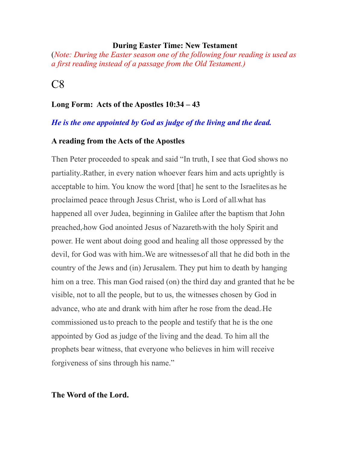#### **During Easter Time: New Testament**

(*Note: During the Easter season one of the following four reading is used as a first reading instead of a passage from the Old Testament.)*

## $C8$

### **Long Form: Acts of the Apostles 10:34 – 43**

#### *He is the one appointed by God as judge of the living and the dead.*

#### **A reading from the Acts of the Apostles**

Then Peter proceeded to speak and said "In truth, I see that God shows no partiality. Rather, in every nation whoever fears him and acts uprightly is acceptable to him. You know the word [that] he sent to the Israelites as he proclaimed peace through Jesus Christ, who is Lord of all what has happened all over Judea, beginning in Galilee after the baptism that John preached, how God anointed Jesus of Nazareth with the holy Spirit and power. He went about doing good and healing all those oppressed by the devil, for God was with him. We are witnesses of all that he did both in the country of the Jews and (in) Jerusalem. They put him to death by hanging him on a tree. This man God raised (on) the third day and granted that he be visible, not to all the people, but to us, the witnesses chosen by God in advance, who ate and drank with him after he rose from the dead. He commissioned usto preach to the people and testify that he is the one appointed by God as judge of the living and the dead. To him all the prophets bear witness, that everyone who believes in him will receive forgiveness of sins through his name."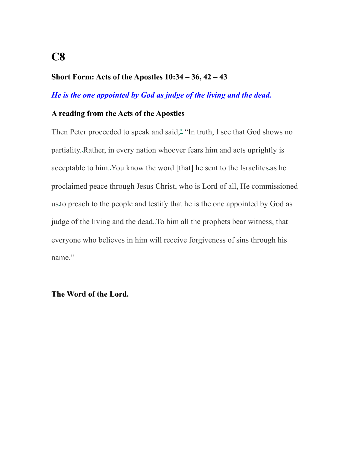## **Short Form: Acts of the Apostles 10:34 – 36, 42 – 43**

## *He is the one appointed by God as judge of the living and the dead.*

#### **A reading from the Acts of the Apostles**

Then Peter proceeded to speak and said,**[\\*](http://www.usccb.org/bible/acts/10#52010034-2)** "In truth, I see that God shows no partiality. Rather, in every nation whoever fears him and acts uprightly is acceptable to him. You know the word [that] he sent to the Israelites as he proclaimed peace through Jesus Christ, who is Lord of all, He commissioned usto preach to the people and testify that he is the one appointed by God as judge of the living and the dead. To him all the prophets bear witness, that everyone who believes in him will receive forgiveness of sins through his name."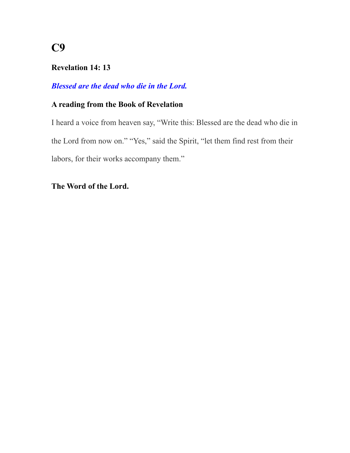## **Revelation 14: 13**

## *Blessed are the dead who die in the Lord.*

## **A reading from the Book of Revelation**

I heard a voice from heaven say, "Write this: Blessed are the dead who die in the Lord from now on." "Yes," said the Spirit, "let them find rest from their labors, for their works accompany them."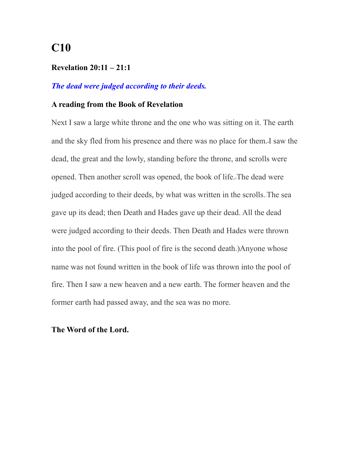#### **Revelation 20:11 – 21:1**

## *The dead were judged according to their deeds.*

#### **A reading from the Book of Revelation**

Next I saw a large white throne and the one who was sitting on it. The earth and the sky fled from his presence and there was no place for them. I saw the dead, the great and the lowly, standing before the throne, and scrolls were opened. Then another scroll was opened, the book of life. The dead were judged according to their deeds, by what was written in the scrolls. The sea gave up its dead; then Death and Hades gave up their dead. All the dead were judged according to their deeds. Then Death and Hades were thrown into the pool of fire. (This pool of fire is the second death.)Anyone whose name was not found written in the book of life was thrown into the pool of fire. Then I saw a new heaven and a new earth. The former heaven and the former earth had passed away, and the sea was no more.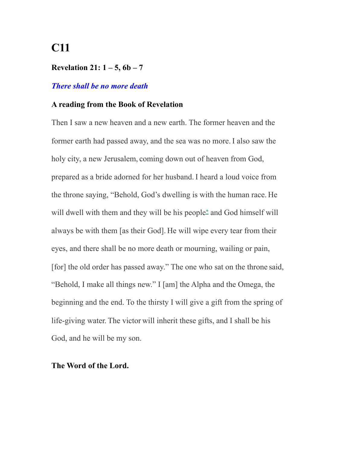#### **Revelation 21: 1 – 5, 6b – 7**

#### *There shall be no more death*

#### **A reading from the Book of Revelation**

Then I saw a new heaven and a new earth. The former heaven and the former earth had passed away, and the sea was no more. I also saw the holy city, a new Jerusalem, coming down out of heaven from God, prepared as a bride adorned for her husband. I heard a loud voice from the throne saying, "Behold, God's dwelling is with the human race. He will dwell with them and they will be his people**[\\*](http://www.usccb.org/bible/revelation/21#74021003-1)** and God himself will always be with them [as their God]. He will wipe every tear from their eyes, and there shall be no more death or mourning, wailing or pain, [for] the old order has passed away." The one who sat on the throne said, "Behold, I make all things new." I [am] the Alpha and the Omega, the beginning and the end. To the thirsty I will give a gift from the spring of life-giving water. The victor will inherit these gifts, and I shall be his God, and he will be my son.